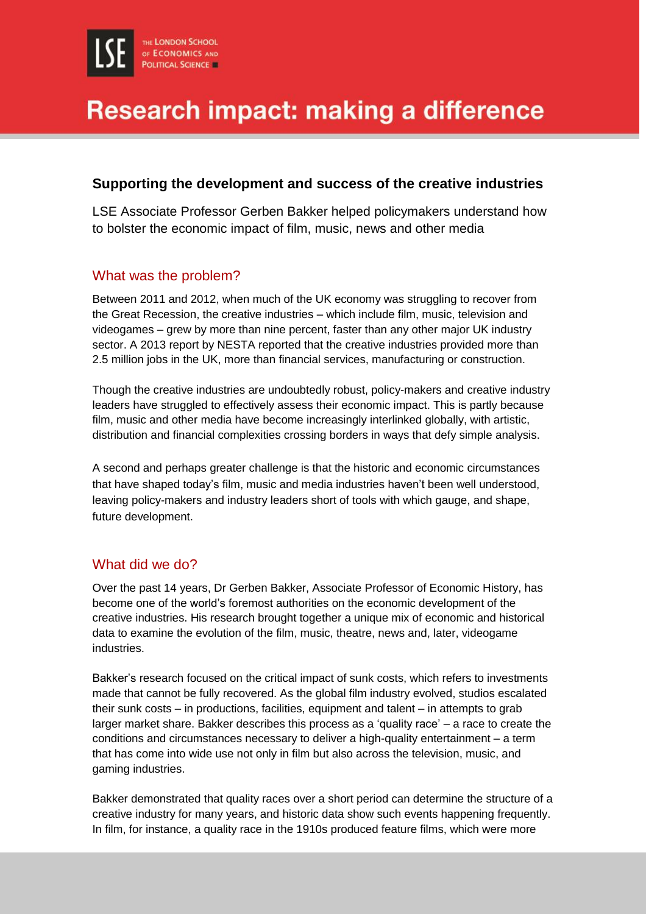# Research impact: making a difference

### **Supporting the development and success of the creative industries**

LSE Associate Professor Gerben Bakker helped policymakers understand how to bolster the economic impact of film, music, news and other media

### What was the problem?

Between 2011 and 2012, when much of the UK economy was struggling to recover from the Great Recession, the creative industries – which include film, music, television and videogames – grew by more than nine percent, faster than any other major UK industry sector. A 2013 report by NESTA reported that the creative industries provided more than 2.5 million jobs in the UK, more than financial services, manufacturing or construction.

Though the creative industries are undoubtedly robust, policy-makers and creative industry leaders have struggled to effectively assess their economic impact. This is partly because film, music and other media have become increasingly interlinked globally, with artistic, distribution and financial complexities crossing borders in ways that defy simple analysis.

A second and perhaps greater challenge is that the historic and economic circumstances that have shaped today's film, music and media industries haven't been well understood, leaving policy-makers and industry leaders short of tools with which gauge, and shape, future development.

## What did we do?

Over the past 14 years, Dr Gerben Bakker, Associate Professor of Economic History, has become one of the world's foremost authorities on the economic development of the creative industries. His research brought together a unique mix of economic and historical data to examine the evolution of the film, music, theatre, news and, later, videogame industries.

Bakker's research focused on the critical impact of sunk costs, which refers to investments made that cannot be fully recovered. As the global film industry evolved, studios escalated their sunk costs – in productions, facilities, equipment and talent – in attempts to grab larger market share. Bakker describes this process as a 'quality race' – a race to create the conditions and circumstances necessary to deliver a high-quality entertainment – a term that has come into wide use not only in film but also across the television, music, and gaming industries.

Bakker demonstrated that quality races over a short period can determine the structure of a creative industry for many years, and historic data show such events happening frequently. In film, for instance, a quality race in the 1910s produced feature films, which were more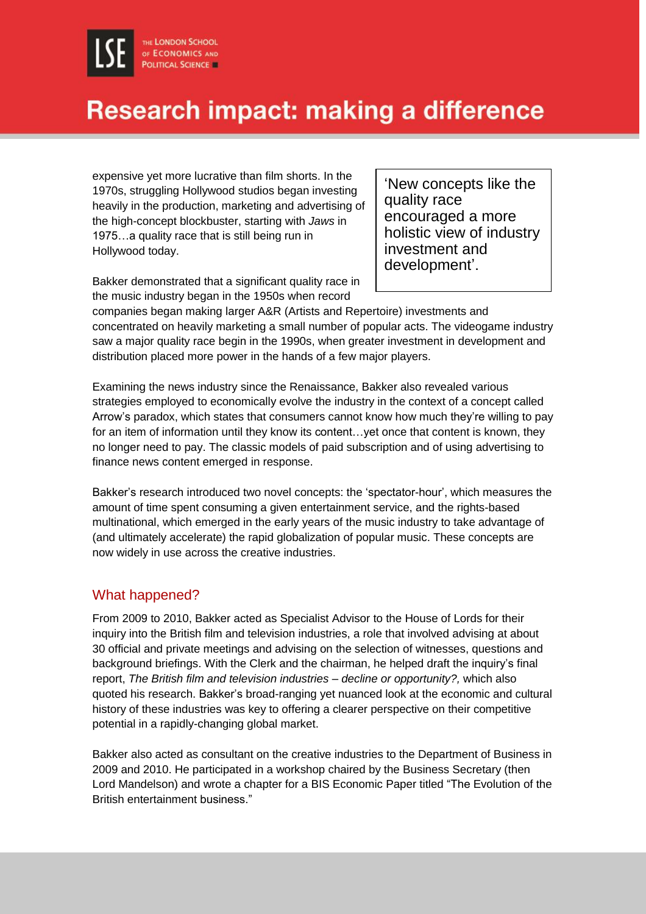## Research impact: making a difference

expensive yet more lucrative than film shorts. In the 1970s, struggling Hollywood studios began investing heavily in the production, marketing and advertising of the high-concept blockbuster, starting with *Jaws* in 1975…a quality race that is still being run in Hollywood today.

'New concepts like the quality race encouraged a more holistic view of industry investment and development'.

Bakker demonstrated that a significant quality race in the music industry began in the 1950s when record

companies began making larger A&R (Artists and Repertoire) investments and concentrated on heavily marketing a small number of popular acts. The videogame industry saw a major quality race begin in the 1990s, when greater investment in development and distribution placed more power in the hands of a few major players.

Examining the news industry since the Renaissance, Bakker also revealed various strategies employed to economically evolve the industry in the context of a concept called Arrow's paradox, which states that consumers cannot know how much they're willing to pay for an item of information until they know its content...yet once that content is known, they no longer need to pay. The classic models of paid subscription and of using advertising to finance news content emerged in response.

Bakker's research introduced two novel concepts: the 'spectator-hour', which measures the amount of time spent consuming a given entertainment service, and the rights-based multinational, which emerged in the early years of the music industry to take advantage of (and ultimately accelerate) the rapid globalization of popular music. These concepts are now widely in use across the creative industries.

### What happened?

From 2009 to 2010, Bakker acted as Specialist Advisor to the House of Lords for their inquiry into the British film and television industries, a role that involved advising at about 30 official and private meetings and advising on the selection of witnesses, questions and background briefings. With the Clerk and the chairman, he helped draft the inquiry's final report, *The British film and television industries – decline or opportunity?,* which also quoted his research. Bakker's broad-ranging yet nuanced look at the economic and cultural history of these industries was key to offering a clearer perspective on their competitive potential in a rapidly-changing global market.

Bakker also acted as consultant on the creative industries to the Department of Business in 2009 and 2010. He participated in a workshop chaired by the Business Secretary (then Lord Mandelson) and wrote a chapter for a BIS Economic Paper titled "The Evolution of the British entertainment business."